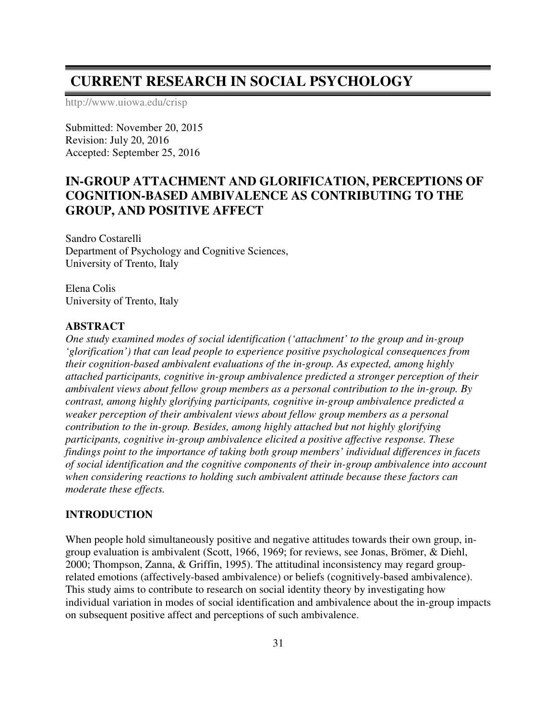# **CURRENT RESEARCH IN SOCIAL PSYCHOLOGY**

http://www.uiowa.edu/crisp

Submitted: November 20, 2015 Revision: July 20, 2016 Accepted: September 25, 2016

# **IN-GROUP ATTACHMENT AND GLORIFICATION, PERCEPTIONS OF COGNITION-BASED AMBIVALENCE AS CONTRIBUTING TO THE GROUP, AND POSITIVE AFFECT**

Sandro Costarelli Department of Psychology and Cognitive Sciences, University of Trento, Italy

Elena Colis University of Trento, Italy

#### **ABSTRACT**

*One study examined modes of social identification ('attachment' to the group and in-group 'glorification') that can lead people to experience positive psychological consequences from their cognition-based ambivalent evaluations of the in-group. As expected, among highly attached participants, cognitive in-group ambivalence predicted a stronger perception of their ambivalent views about fellow group members as a personal contribution to the in-group. By contrast, among highly glorifying participants, cognitive in-group ambivalence predicted a weaker perception of their ambivalent views about fellow group members as a personal contribution to the in-group. Besides, among highly attached but not highly glorifying participants, cognitive in-group ambivalence elicited a positive affective response. These findings point to the importance of taking both group members' individual differences in facets of social identification and the cognitive components of their in-group ambivalence into account when considering reactions to holding such ambivalent attitude because these factors can moderate these effects.*

## **INTRODUCTION**

When people hold simultaneously positive and negative attitudes towards their own group, ingroup evaluation is ambivalent (Scott, 1966, 1969; for reviews, see Jonas, Brömer, & Diehl, 2000; Thompson, Zanna, & Griffin, 1995). The attitudinal inconsistency may regard grouprelated emotions (affectively-based ambivalence) or beliefs (cognitively-based ambivalence). This study aims to contribute to research on social identity theory by investigating how individual variation in modes of social identification and ambivalence about the in-group impacts on subsequent positive affect and perceptions of such ambivalence.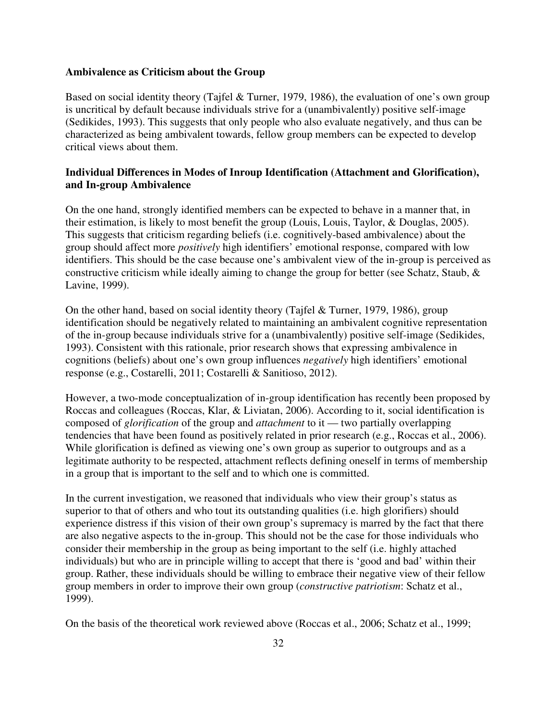#### **Ambivalence as Criticism about the Group**

Based on social identity theory (Tajfel & Turner, 1979, 1986), the evaluation of one's own group is uncritical by default because individuals strive for a (unambivalently) positive self-image (Sedikides, 1993). This suggests that only people who also evaluate negatively, and thus can be characterized as being ambivalent towards, fellow group members can be expected to develop critical views about them.

# **Individual Differences in Modes of Inroup Identification (Attachment and Glorification), and In-group Ambivalence**

On the one hand, strongly identified members can be expected to behave in a manner that, in their estimation, is likely to most benefit the group (Louis, Louis, Taylor, & Douglas, 2005). This suggests that criticism regarding beliefs (i.e. cognitively-based ambivalence) about the group should affect more *positively* high identifiers' emotional response, compared with low identifiers. This should be the case because one's ambivalent view of the in-group is perceived as constructive criticism while ideally aiming to change the group for better (see Schatz, Staub, & Lavine, 1999).

On the other hand, based on social identity theory (Tajfel & Turner, 1979, 1986), group identification should be negatively related to maintaining an ambivalent cognitive representation of the in-group because individuals strive for a (unambivalently) positive self-image (Sedikides, 1993). Consistent with this rationale, prior research shows that expressing ambivalence in cognitions (beliefs) about one's own group influences *negatively* high identifiers' emotional response (e.g., Costarelli, 2011; Costarelli & Sanitioso, 2012).

However, a two-mode conceptualization of in-group identification has recently been proposed by Roccas and colleagues (Roccas, Klar, & Liviatan, 2006). According to it, social identification is composed of *glorification* of the group and *attachment* to it — two partially overlapping tendencies that have been found as positively related in prior research (e.g., Roccas et al., 2006). While glorification is defined as viewing one's own group as superior to outgroups and as a legitimate authority to be respected, attachment reflects defining oneself in terms of membership in a group that is important to the self and to which one is committed.

In the current investigation, we reasoned that individuals who view their group's status as superior to that of others and who tout its outstanding qualities (i.e. high glorifiers) should experience distress if this vision of their own group's supremacy is marred by the fact that there are also negative aspects to the in-group. This should not be the case for those individuals who consider their membership in the group as being important to the self (i.e. highly attached individuals) but who are in principle willing to accept that there is 'good and bad' within their group. Rather, these individuals should be willing to embrace their negative view of their fellow group members in order to improve their own group (*constructive patriotism*: Schatz et al., 1999).

On the basis of the theoretical work reviewed above (Roccas et al., 2006; Schatz et al., 1999;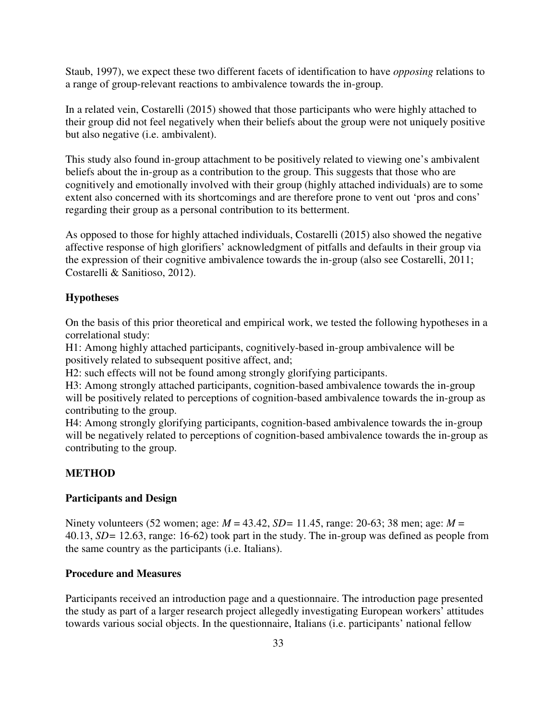Staub, 1997), we expect these two different facets of identification to have *opposing* relations to a range of group-relevant reactions to ambivalence towards the in-group.

In a related vein, Costarelli (2015) showed that those participants who were highly attached to their group did not feel negatively when their beliefs about the group were not uniquely positive but also negative (i.e. ambivalent).

This study also found in-group attachment to be positively related to viewing one's ambivalent beliefs about the in-group as a contribution to the group. This suggests that those who are cognitively and emotionally involved with their group (highly attached individuals) are to some extent also concerned with its shortcomings and are therefore prone to vent out 'pros and cons' regarding their group as a personal contribution to its betterment.

As opposed to those for highly attached individuals, Costarelli (2015) also showed the negative affective response of high glorifiers' acknowledgment of pitfalls and defaults in their group via the expression of their cognitive ambivalence towards the in-group (also see Costarelli, 2011; Costarelli & Sanitioso, 2012).

# **Hypotheses**

On the basis of this prior theoretical and empirical work, we tested the following hypotheses in a correlational study:

H1: Among highly attached participants, cognitively-based in-group ambivalence will be positively related to subsequent positive affect, and;

H2: such effects will not be found among strongly glorifying participants.

H3: Among strongly attached participants, cognition-based ambivalence towards the in-group will be positively related to perceptions of cognition-based ambivalence towards the in-group as contributing to the group.

H4: Among strongly glorifying participants, cognition-based ambivalence towards the in-group will be negatively related to perceptions of cognition-based ambivalence towards the in-group as contributing to the group.

# **METHOD**

### **Participants and Design**

Ninety volunteers (52 women; age: *M* = 43.42, *SD=* 11.45, range: 20-63; 38 men; age: *M* = 40.13, *SD=* 12.63, range: 16-62) took part in the study. The in-group was defined as people from the same country as the participants (i.e. Italians).

### **Procedure and Measures**

Participants received an introduction page and a questionnaire. The introduction page presented the study as part of a larger research project allegedly investigating European workers' attitudes towards various social objects. In the questionnaire, Italians (i.e. participants' national fellow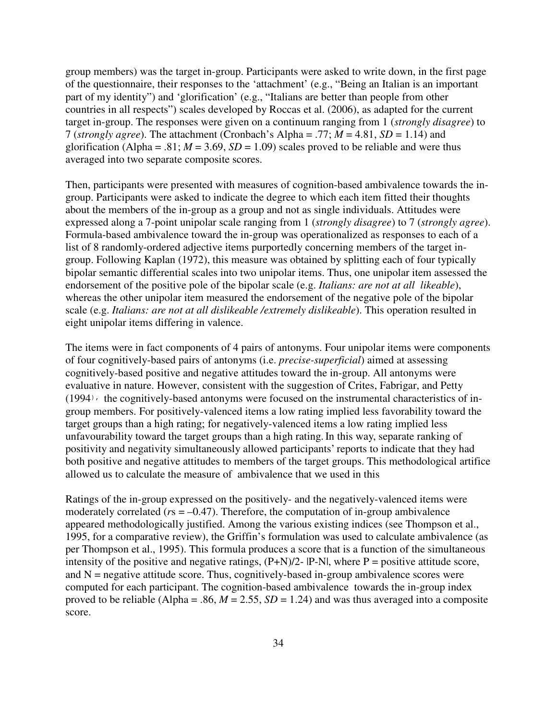group members) was the target in-group. Participants were asked to write down, in the first page of the questionnaire, their responses to the 'attachment' (e.g., "Being an Italian is an important part of my identity") and 'glorification' (e.g., "Italians are better than people from other countries in all respects") scales developed by Roccas et al. (2006), as adapted for the current target in-group. The responses were given on a continuum ranging from 1 (*strongly disagree*) to 7 (*strongly agree*). The attachment (Cronbach's Alpha = .77;  $M = 4.81$ ,  $SD = 1.14$ ) and glorification (Alpha = .81;  $M = 3.69$ ,  $SD = 1.09$ ) scales proved to be reliable and were thus averaged into two separate composite scores.

Then, participants were presented with measures of cognition-based ambivalence towards the ingroup. Participants were asked to indicate the degree to which each item fitted their thoughts about the members of the in-group as a group and not as single individuals. Attitudes were expressed along a 7-point unipolar scale ranging from 1 (*strongly disagree*) to 7 (*strongly agree*). Formula-based ambivalence toward the in-group was operationalized as responses to each of a list of 8 randomly-ordered adjective items purportedly concerning members of the target ingroup. Following Kaplan (1972), this measure was obtained by splitting each of four typically bipolar semantic differential scales into two unipolar items. Thus, one unipolar item assessed the endorsement of the positive pole of the bipolar scale (e.g. *Italians: are not at all likeable*), whereas the other unipolar item measured the endorsement of the negative pole of the bipolar scale (e.g. *Italians: are not at all dislikeable /extremely dislikeable*). This operation resulted in eight unipolar items differing in valence.

The items were in fact components of 4 pairs of antonyms. Four unipolar items were components of four cognitively-based pairs of antonyms (i.e. *precise-superficial*) aimed at assessing cognitively-based positive and negative attitudes toward the in-group. All antonyms were evaluative in nature. However, consistent with the suggestion of Crites, Fabrigar, and Petty  $(1994)$ , the cognitively-based antonyms were focused on the instrumental characteristics of ingroup members. For positively-valenced items a low rating implied less favorability toward the target groups than a high rating; for negatively-valenced items a low rating implied less unfavourability toward the target groups than a high rating.In this way, separate ranking of positivity and negativity simultaneously allowed participants' reports to indicate that they had both positive and negative attitudes to members of the target groups. This methodological artifice allowed us to calculate the measure of ambivalence that we used in this

Ratings of the in-group expressed on the positively- and the negatively-valenced items were moderately correlated ( $rs = -0.47$ ). Therefore, the computation of in-group ambivalence appeared methodologically justified. Among the various existing indices (see Thompson et al., 1995, for a comparative review), the Griffin's formulation was used to calculate ambivalence (as per Thompson et al., 1995). This formula produces a score that is a function of the simultaneous intensity of the positive and negative ratings,  $(P+N)/2$ -  $[P-N]$ , where  $P =$  positive attitude score, and  $N$  = negative attitude score. Thus, cognitively-based in-group ambivalence scores were computed for each participant. The cognition-based ambivalence towards the in-group index proved to be reliable (Alpha = .86,  $M = 2.55$ ,  $SD = 1.24$ ) and was thus averaged into a composite score.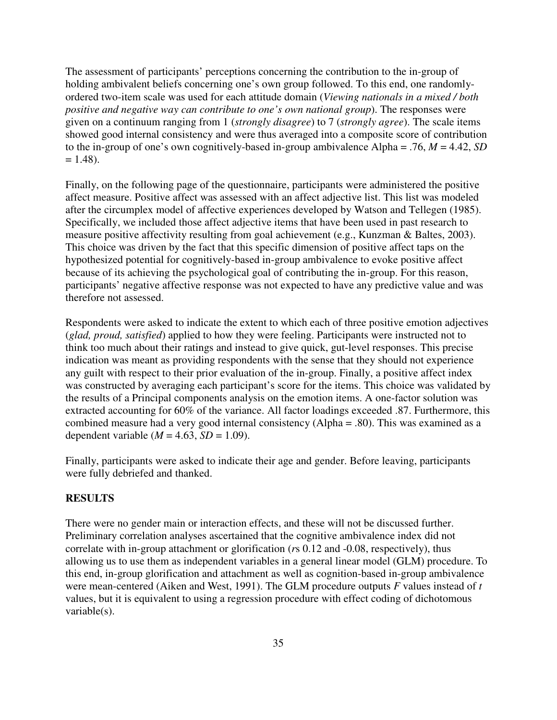The assessment of participants' perceptions concerning the contribution to the in-group of holding ambivalent beliefs concerning one's own group followed. To this end, one randomlyordered two-item scale was used for each attitude domain (*Viewing nationals in a mixed / both positive and negative way can contribute to one's own national group*). The responses were given on a continuum ranging from 1 (*strongly disagree*) to 7 (*strongly agree*). The scale items showed good internal consistency and were thus averaged into a composite score of contribution to the in-group of one's own cognitively-based in-group ambivalence Alpha = .76, *M* = 4.42, *SD*  $= 1.48$ ).

Finally, on the following page of the questionnaire, participants were administered the positive affect measure. Positive affect was assessed with an affect adjective list. This list was modeled after the circumplex model of affective experiences developed by Watson and Tellegen (1985). Specifically, we included those affect adjective items that have been used in past research to measure positive affectivity resulting from goal achievement (e.g., Kunzman & Baltes, 2003). This choice was driven by the fact that this specific dimension of positive affect taps on the hypothesized potential for cognitively-based in-group ambivalence to evoke positive affect because of its achieving the psychological goal of contributing the in-group. For this reason, participants' negative affective response was not expected to have any predictive value and was therefore not assessed.

Respondents were asked to indicate the extent to which each of three positive emotion adjectives (*glad, proud, satisfied*) applied to how they were feeling. Participants were instructed not to think too much about their ratings and instead to give quick, gut-level responses. This precise indication was meant as providing respondents with the sense that they should not experience any guilt with respect to their prior evaluation of the in-group. Finally, a positive affect index was constructed by averaging each participant's score for the items. This choice was validated by the results of a Principal components analysis on the emotion items. A one-factor solution was extracted accounting for 60% of the variance. All factor loadings exceeded .87. Furthermore, this combined measure had a very good internal consistency (Alpha = .80). This was examined as a dependent variable ( $M = 4.63$ ,  $SD = 1.09$ ).

Finally, participants were asked to indicate their age and gender. Before leaving, participants were fully debriefed and thanked.

## **RESULTS**

There were no gender main or interaction effects, and these will not be discussed further. Preliminary correlation analyses ascertained that the cognitive ambivalence index did not correlate with in-group attachment or glorification (*r*s 0.12 and -0.08, respectively), thus allowing us to use them as independent variables in a general linear model (GLM) procedure. To this end, in-group glorification and attachment as well as cognition-based in-group ambivalence were mean-centered (Aiken and West, 1991). The GLM procedure outputs *F* values instead of *t* values, but it is equivalent to using a regression procedure with effect coding of dichotomous variable(s).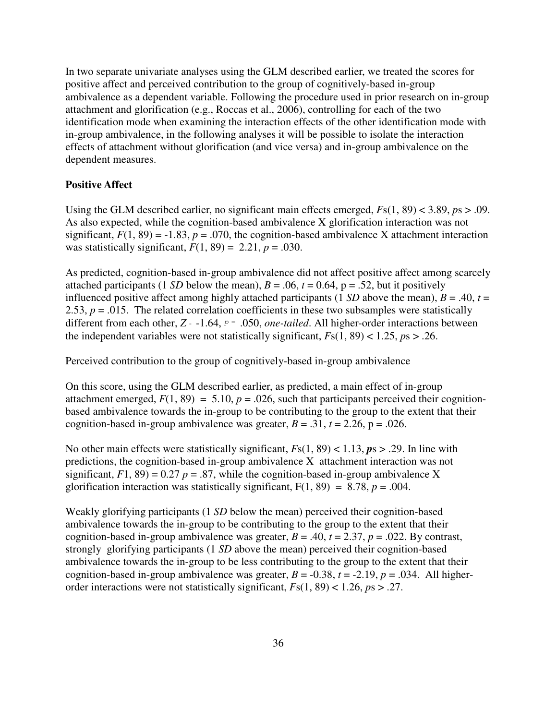In two separate univariate analyses using the GLM described earlier, we treated the scores for positive affect and perceived contribution to the group of cognitively-based in-group ambivalence as a dependent variable. Following the procedure used in prior research on in-group attachment and glorification (e.g., Roccas et al., 2006), controlling for each of the two identification mode when examining the interaction effects of the other identification mode with in-group ambivalence, in the following analyses it will be possible to isolate the interaction effects of attachment without glorification (and vice versa) and in-group ambivalence on the dependent measures.

## **Positive Affect**

Using the GLM described earlier, no significant main effects emerged, *F*s(1, 89) < 3.89, *p*s > .09. As also expected, while the cognition-based ambivalence X glorification interaction was not significant,  $F(1, 89) = -1.83$ ,  $p = .070$ , the cognition-based ambivalence X attachment interaction was statistically significant,  $F(1, 89) = 2.21$ ,  $p = .030$ .

As predicted, cognition-based in-group ambivalence did not affect positive affect among scarcely attached participants (1 *SD* below the mean),  $B = .06$ ,  $t = 0.64$ ,  $p = .52$ , but it positively influenced positive affect among highly attached participants (1 *SD* above the mean),  $B = .40$ ,  $t =$ 2.53,  $p = .015$ . The related correlation coefficients in these two subsamples were statistically different from each other,  $Z - 1.64$ ,  $p = .050$ , *one-tailed*. All higher-order interactions between the independent variables were not statistically significant,  $Fs(1, 89) < 1.25$ ,  $ps > .26$ .

Perceived contribution to the group of cognitively-based in-group ambivalence

On this score, using the GLM described earlier, as predicted, a main effect of in-group attachment emerged,  $F(1, 89) = 5.10$ ,  $p = .026$ , such that participants perceived their cognitionbased ambivalence towards the in-group to be contributing to the group to the extent that their cognition-based in-group ambivalence was greater,  $B = .31$ ,  $t = 2.26$ ,  $p = .026$ .

No other main effects were statistically significant, *F*s(1, 89) < 1.13, *p*s > .29. In line with predictions, the cognition-based in-group ambivalence X attachment interaction was not significant,  $F1$ ,  $89$ ) = 0.27  $p = .87$ , while the cognition-based in-group ambivalence X glorification interaction was statistically significant,  $F(1, 89) = 8.78$ ,  $p = .004$ .

Weakly glorifying participants (1 *SD* below the mean) perceived their cognition-based ambivalence towards the in-group to be contributing to the group to the extent that their cognition-based in-group ambivalence was greater,  $B = .40$ ,  $t = 2.37$ ,  $p = .022$ . By contrast, strongly glorifying participants (1 *SD* above the mean) perceived their cognition-based ambivalence towards the in-group to be less contributing to the group to the extent that their cognition-based in-group ambivalence was greater,  $B = -0.38$ ,  $t = -2.19$ ,  $p = .034$ . All higherorder interactions were not statistically significant, *F*s(1, 89) < 1.26, *p*s > .27.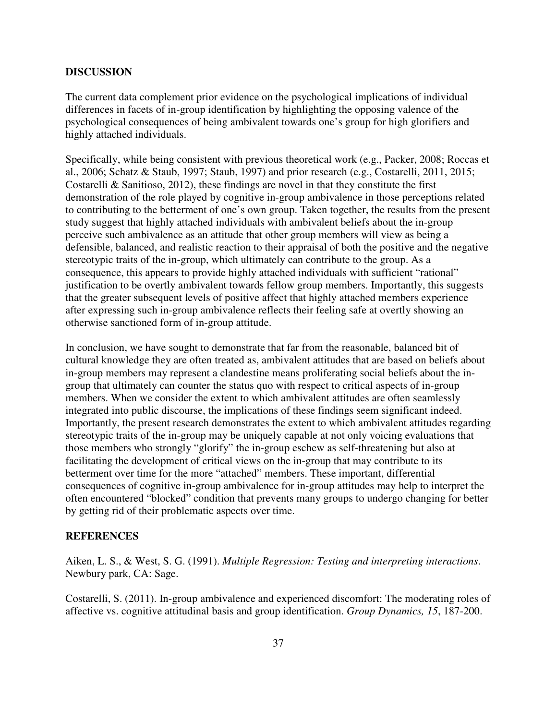#### **DISCUSSION**

The current data complement prior evidence on the psychological implications of individual differences in facets of in-group identification by highlighting the opposing valence of the psychological consequences of being ambivalent towards one's group for high glorifiers and highly attached individuals.

Specifically, while being consistent with previous theoretical work (e.g., Packer, 2008; Roccas et al., 2006; Schatz & Staub, 1997; Staub, 1997) and prior research (e.g., Costarelli, 2011, 2015; Costarelli & Sanitioso, 2012), these findings are novel in that they constitute the first demonstration of the role played by cognitive in-group ambivalence in those perceptions related to contributing to the betterment of one's own group. Taken together, the results from the present study suggest that highly attached individuals with ambivalent beliefs about the in-group perceive such ambivalence as an attitude that other group members will view as being a defensible, balanced, and realistic reaction to their appraisal of both the positive and the negative stereotypic traits of the in-group, which ultimately can contribute to the group. As a consequence, this appears to provide highly attached individuals with sufficient "rational" justification to be overtly ambivalent towards fellow group members. Importantly, this suggests that the greater subsequent levels of positive affect that highly attached members experience after expressing such in-group ambivalence reflects their feeling safe at overtly showing an otherwise sanctioned form of in-group attitude.

In conclusion, we have sought to demonstrate that far from the reasonable, balanced bit of cultural knowledge they are often treated as, ambivalent attitudes that are based on beliefs about in-group members may represent a clandestine means proliferating social beliefs about the ingroup that ultimately can counter the status quo with respect to critical aspects of in-group members. When we consider the extent to which ambivalent attitudes are often seamlessly integrated into public discourse, the implications of these findings seem significant indeed. Importantly, the present research demonstrates the extent to which ambivalent attitudes regarding stereotypic traits of the in-group may be uniquely capable at not only voicing evaluations that those members who strongly "glorify" the in-group eschew as self-threatening but also at facilitating the development of critical views on the in-group that may contribute to its betterment over time for the more "attached" members. These important, differential consequences of cognitive in-group ambivalence for in-group attitudes may help to interpret the often encountered "blocked" condition that prevents many groups to undergo changing for better by getting rid of their problematic aspects over time.

#### **REFERENCES**

Aiken, L. S., & West, S. G. (1991). *Multiple Regression: Testing and interpreting interactions*. Newbury park, CA: Sage.

Costarelli, S. (2011). In-group ambivalence and experienced discomfort: The moderating roles of affective vs. cognitive attitudinal basis and group identification. *Group Dynamics, 15*, 187-200.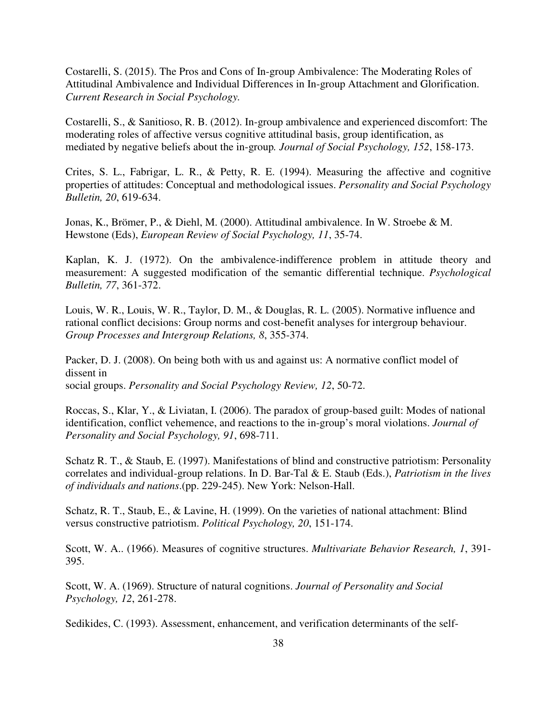Costarelli, S. (2015). The Pros and Cons of In-group Ambivalence: The Moderating Roles of Attitudinal Ambivalence and Individual Differences in In-group Attachment and Glorification. *Current Research in Social Psychology.* 

Costarelli, S., & Sanitioso, R. B. (2012). In-group ambivalence and experienced discomfort: The moderating roles of affective versus cognitive attitudinal basis, group identification, as mediated by negative beliefs about the in-group*. Journal of Social Psychology, 152*, 158-173.

Crites, S. L., Fabrigar, L. R., & Petty, R. E. (1994). Measuring the affective and cognitive properties of attitudes: Conceptual and methodological issues. *Personality and Social Psychology Bulletin, 20*, 619-634.

Jonas, K., Brömer, P., & Diehl, M. (2000). Attitudinal ambivalence. In W. Stroebe & M. Hewstone (Eds), *European Review of Social Psychology, 11*, 35-74.

Kaplan, K. J. (1972). On the ambivalence-indifference problem in attitude theory and measurement: A suggested modification of the semantic differential technique. *Psychological Bulletin, 77*, 361-372.

Louis, W. R., Louis, W. R., Taylor, D. M., & Douglas, R. L. (2005). Normative influence and rational conflict decisions: Group norms and cost-benefit analyses for intergroup behaviour. *Group Processes and Intergroup Relations, 8*, 355-374.

Packer, D. J. (2008). On being both with us and against us: A normative conflict model of dissent in social groups. *Personality and Social Psychology Review, 12*, 50-72.

Roccas, S., Klar, Y., & Liviatan, I. (2006). The paradox of group-based guilt: Modes of national identification, conflict vehemence, and reactions to the in-group's moral violations. *Journal of Personality and Social Psychology, 91*, 698-711.

Schatz R. T., & Staub, E. (1997). Manifestations of blind and constructive patriotism: Personality correlates and individual-group relations. In D. Bar-Tal & E. Staub (Eds.), *Patriotism in the lives of individuals and nations*.(pp. 229-245). New York: Nelson-Hall.

Schatz, R. T., Staub, E., & Lavine, H. (1999). On the varieties of national attachment: Blind versus constructive patriotism. *Political Psychology, 20*, 151-174.

Scott, W. A.. (1966). Measures of cognitive structures. *Multivariate Behavior Research, 1*, 391- 395.

Scott, W. A. (1969). Structure of natural cognitions. *Journal of Personality and Social Psychology, 12*, 261-278.

Sedikides, C. (1993). Assessment, enhancement, and verification determinants of the self-